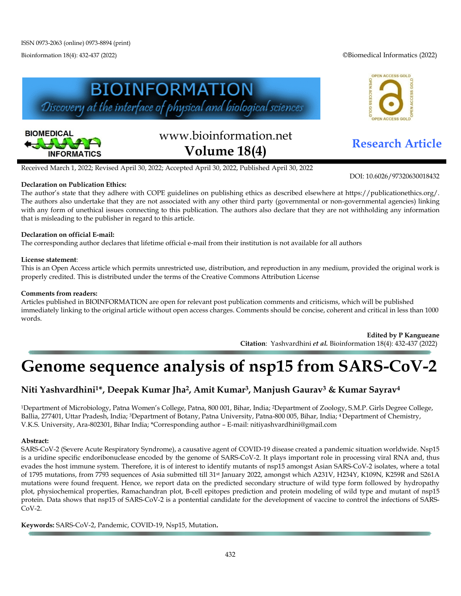Bioinformation 18(4): 432-437 (2022) ©Biomedical Informatics (2022)





# www.bioinformation.net **Research Article Volume 18(4)**



DOI: 10.6026/97320630018432

Received March 1, 2022; Revised April 30, 2022; Accepted April 30, 2022, Published April 30, 2022

### **Declaration on Publication Ethics:**

The author's state that they adhere with COPE guidelines on publishing ethics as described elsewhere at https://publicationethics.org/. The authors also undertake that they are not associated with any other third party (governmental or non-governmental agencies) linking with any form of unethical issues connecting to this publication. The authors also declare that they are not withholding any information that is misleading to the publisher in regard to this article.

### **Declaration on official E-mail:**

The corresponding author declares that lifetime official e-mail from their institution is not available for all authors

#### **License statement**:

This is an Open Access article which permits unrestricted use, distribution, and reproduction in any medium, provided the original work is properly credited. This is distributed under the terms of the Creative Commons Attribution License

#### **Comments from readers:**

Articles published in BIOINFORMATION are open for relevant post publication comments and criticisms, which will be published immediately linking to the original article without open access charges. Comments should be concise, coherent and critical in less than 1000 words.

> **Edited by P Kangueane Citation**: Yashvardhini *et al.* Bioinformation 18(4): 432-437 (2022)

# **Genome sequence analysis of nsp15 from SARS-CoV-2**

# **Niti Yashvardhini1\*, Deepak Kumar Jha2, Amit Kumar3, Manjush Gaurav3 & Kumar Sayrav4**

1Department of Microbiology, Patna Women's College, Patna, 800 001, Bihar, India; 2Department of Zoology, S.M.P. Girls Degree College, Ballia, 277401, Uttar Pradesh, India; 3Department of Botany, Patna University, Patna-800 005, Bihar, India; <sup>4</sup> Department of Chemistry, V.K.S. University, Ara-802301, Bihar India; \*Corresponding author – E-mail: nitiyashvardhini@gmail.com

#### **Abstract:**

SARS-CoV-2 (Severe Acute Respiratory Syndrome), a causative agent of COVID-19 disease created a pandemic situation worldwide. Nsp15 is a uridine specific endoribonuclease encoded by the genome of SARS-CoV-2. It plays important role in processing viral RNA and, thus evades the host immune system. Therefore, it is of interest to identify mutants of nsp15 amongst Asian SARS-CoV-2 isolates, where a total of 1795 mutations, from 7793 sequences of Asia submitted till 31st January 2022, amongst which A231V, H234Y, K109N, K259R and S261A mutations were found frequent. Hence, we report data on the predicted secondary structure of wild type form followed by hydropathy plot, physiochemical properties, Ramachandran plot, B-cell epitopes prediction and protein modeling of wild type and mutant of nsp15 protein. Data shows that nsp15 of SARS-CoV-2 is a pontential candidate for the development of vaccine to control the infections of SARS-CoV-2.

**Keywords:** SARS-CoV-2, Pandemic, COVID-19, Nsp15, Mutation**.**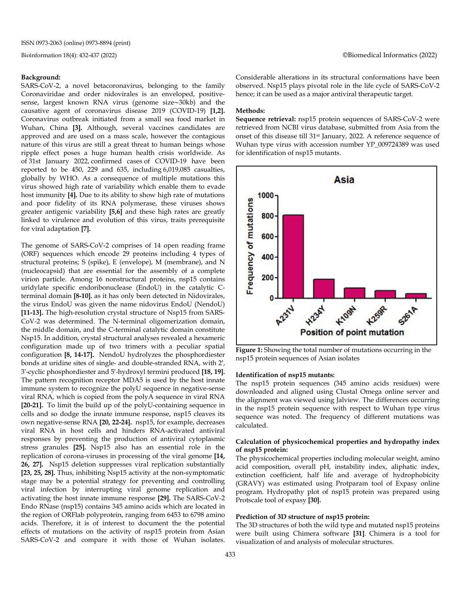#### **Background:**

SARS-CoV-2, a novel betacoronavirus, belonging to the family Coronaviridae and order nidovirales is an enveloped, positivesense, largest known RNA virus (genome size∼30kb) and the causative agent of coronavirus disease 2019 (COVID-19) **[1,2].**  Coronavirus outbreak initiated from a small sea food market in Wuhan, China **[3].** Although, several vaccines candidates are approved and are used on a mass scale, however the contagious nature of this virus are still a great threat to human beings whose ripple effect poses a huge human health crisis worldwide. As of 31st January 2022, confirmed cases of COVID-19 have been reported to be 450, 229 and 635, including 6,019,085 casualties, globally by WHO. As a consequence of multiple mutations this virus showed high rate of variability which enable them to evade host immunity **[4].** Due to its ability to show high rate of mutations and poor fidelity of its RNA polymerase, these viruses shows greater antigenic variability **[5,6]** and these high rates are greatly linked to virulence and evolution of this virus, traits prerequisite for viral adaptation **[7].**

The genome of SARS-CoV-2 comprises of 14 open reading frame (ORF) sequences which encode 29 proteins including 4 types of structural proteins; S (spike), E (envelope), M (membrane), and N (nucleocapsid) that are essential for the assembly of a complete virion particle. Among 16 nonstructural proteins, nsp15 contains uridylate specific endoribonuclease (EndoU) in the catalytic Cterminal domain **[8-10].** as it has only been detected in Nidovirales, the virus EndoU was given the name nidovirus EndoU (NendoU) **[11-13].** The high-resolution crystal structure of Nsp15 from SARS-CoV-2 was determined. The N-terminal oligomerization domain, the middle domain, and the C-terminal catalytic domain constitute Nsp15. In addition, crystal structural analyses revealed a hexameric configuration made up of two trimers with a peculiar spatial configuration **[8, 14-17].** NendoU hydrolyzes the phosphordiester bonds at uridine sites of single- and double-stranded RNA, with 2′, 3′-cyclic phosphordiester and 5′-hydroxyl termini produced **[18, 19].** The pattern recognition receptor MDA5 is used by the host innate immune system to recognize the polyU sequence in negative-sense viral RNA, which is copied from the polyA sequence in viral RNA **[20-21].** To limit the build up of the polyU-containing sequence in cells and so dodge the innate immune response, nsp15 cleaves its own negative-sense RNA **[20, 22-24].** nsp15, for example, decreases viral RNA in host cells and hinders RNA-activated antiviral responses by preventing the production of antiviral cytoplasmic stress granules **[25].** Nsp15 also has an essential role in the replication of corona-viruses in processing of the viral genome **[14, 26, 27].** Nsp15 deletion suppresses viral replication substantially **[23, 25, 28].** Thus, inhibiting Nsp15 activity at the non-symptomatic stage may be a potential strategy for preventing and controlling viral infection by interrupting viral genome replication and activating the host innate immune response **[29].** The SARS-CoV-2 Endo RNase (nsp15) contains 345 amino acids which are located in the region of ORFlab polyprotein, ranging from 6453 to 6798 amino acids. Therefore, it is of interest to document the the potential effects of mutations on the activity of nsp15 protein from Asian SARS-CoV-2 and compare it with those of Wuhan isolates.

Considerable alterations in its structural conformations have been observed. Nsp15 plays pivotal role in the life cycle of SARS-CoV-2 hence; it can be used as a major antiviral therapeutic target.

#### **Methods:**

**Sequence retrieval:** nsp15 protein sequences of SARS-CoV-2 were retrieved from NCBI virus database, submitted from Asia from the onset of this disease till 31st January, 2022. A reference sequence of Wuhan type virus with accession number YP\_009724389 was used for identification of nsp15 mutants.



**Figure 1:** Showing the total number of mutations occurring in the nsp15 protein sequences of Asian isolates

#### **Identification of nsp15 mutants:**

The nsp15 protein sequences (345 amino acids residues) were downloaded and aligned using Clustal Omega online server and the alignment was viewed using Jalview. The differences occurring in the nsp15 protein sequence with respect to Wuhan type virus sequence was noted. The frequency of different mutations was calculated.

#### **Calculation of physicochemical properties and hydropathy index of nsp15 protein:**

The physicochemical properties including molecular weight, amino acid composition, overall pH, instability index, aliphatic index, extinction coefficient, half life and average of hydrophobicity (GRAVY) was estimated using Protparam tool of Expasy online program. Hydropathy plot of nsp15 protein was prepared using Protscale tool of expasy **[30].**

#### **Prediction of 3D structure of nsp15 protein:**

The 3D structures of both the wild type and mutated nsp15 proteins were built using Chimera software **[31]**. Chimera is a tool for visualization of and analysis of molecular structures.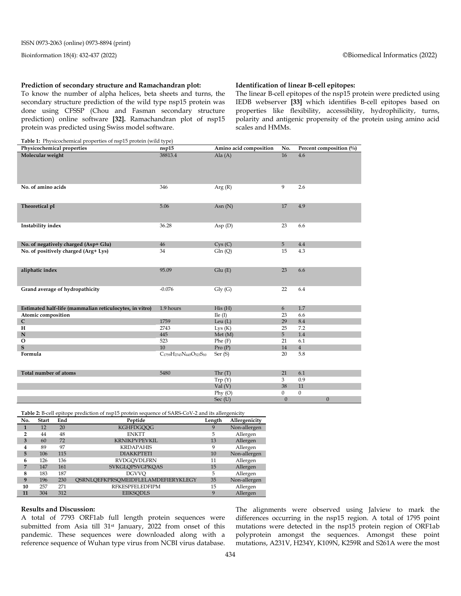#### **Prediction of secondary structure and Ramachandran plot:**

To know the number of alpha helices, beta sheets and turns, the secondary structure prediction of the wild type nsp15 protein was done using CFSSP (Chou and Fasman secondary structure prediction) online software **[32].** Ramachandran plot of nsp15 protein was predicted using Swiss model software.

#### **Table 1:** Physicochemical properties of nsp15 protein (wild type)

## **Identification of linear B-cell epitopes:**

The linear B-cell epitopes of the nsp15 protein were predicted using IEDB webserver **[33]** which identifies B-cell epitopes based on properties like flexibility, accessibility, hydrophilicity, turns, polarity and antigenic propensity of the protein using amino acid scales and HMMs.

| <b>Table 1:</b> Physicochemical properties of usp15 protein (with type) |                                                                                       |                        |                  |                         |
|-------------------------------------------------------------------------|---------------------------------------------------------------------------------------|------------------------|------------------|-------------------------|
| Physicochemical properties                                              | nsp15                                                                                 | Amino acid composition | No.              | Percent composition (%) |
| Molecular weight                                                        | 38813.4                                                                               | Ala $(A)$              | 16               | 4.6                     |
| No. of amino acids                                                      | 346                                                                                   | Arg(R)                 | 9                | 2.6                     |
| Theoretical pI                                                          | 5.06                                                                                  | Asn $(N)$              | 17               | 4.9                     |
| Instability index                                                       | 36.28                                                                                 | Asp $(D)$              | 23               | 6.6                     |
| No. of negatively charged (Asp+ Glu)                                    | 46                                                                                    | Cys(C)                 | 5                | 4.4                     |
| No. of positively charged (Arg+ Lys)                                    | 34                                                                                    | Gln(Q)                 | 15               | 4.3                     |
| aliphatic index                                                         | 95.09                                                                                 | Glu(E)                 | 23               | 6.6                     |
| Grand average of hydropathicity                                         | $-0.076$                                                                              | $\mathrm{Gly}$ (G)     | 22               | 6.4                     |
| Estimated half-life (mammalian reticulocytes, in vitro)                 | 1.9 hours                                                                             | His(H)                 | 6                | 1.7                     |
| Atomic composition                                                      |                                                                                       | Ile(I)                 | 23               | 6.6                     |
| ${\bf C}$                                                               | 1759                                                                                  | Leu $(L)$              | 29               | 8.4                     |
| Н                                                                       | 2743                                                                                  | Lys(K)                 | 25               | 7.2                     |
| ${\bf N}$                                                               | 445                                                                                   | Met(M)                 | 5                | 1.4                     |
| $\mathbf{O}$                                                            | 523                                                                                   | Phe(F)                 | 21               | 6.1                     |
| S                                                                       | 10                                                                                    | Pro(P)                 | 14               | $\overline{4}$          |
| Formula                                                                 | C <sub>1759</sub> H <sub>2743</sub> N <sub>445</sub> O <sub>523</sub> S <sub>10</sub> | Ser $(S)$              | 20               | 5.8                     |
| Total number of atoms                                                   | 5480                                                                                  | Thr $(T)$              | 21               | 6.1                     |
|                                                                         |                                                                                       | Trp(Y)                 | 3                | 0.9                     |
|                                                                         |                                                                                       | Val(V)                 | 38               | 11                      |
|                                                                         |                                                                                       | $Phy$ (O)              | $\mathbf{0}$     | $\boldsymbol{0}$        |
|                                                                         |                                                                                       | Sec $(U)$              | $\boldsymbol{0}$ | $\mathbf{0}$            |

**Table 2:** B-cell epitope prediction of nsp15 protein sequence of SARS-CoV-2 and its allergenicity

| No. | <b>Start</b> | End | Peptide                             | Length | Allergenicity |
|-----|--------------|-----|-------------------------------------|--------|---------------|
| 1   | 12           | 20  | <b>KGHFDGOOG</b>                    | 9      | Non-allergen  |
| 2   | 44           | 48  | <b>ENKTT</b>                        | 5      | Allergen      |
| 3   | 60           | 72  | <b>KRNIKPVPEVKIL</b>                | 13     | Allergen      |
| 4   | 89           | 97  | <b>KRDAPAHIS</b>                    | 9      | Allergen      |
| 5   | 106          | 115 | <b>DIAKKPTETI</b>                   | 10     | Non-allergen  |
| 6   | 126          | 136 | <b>RVDGOVDLFRN</b>                  | 11     | Allergen      |
| 7   | 147          | 161 | <b>SVKGLOPSVGPKOAS</b>              | 15     | Allergen      |
| 8   | 183          | 187 | <b>DGVVO</b>                        | 5      | Allergen      |
| 9   | 196          | 230 | OSRNLOEFKPRSOMEIDFLELAMDEFIERYKLEGY | 35     | Non-allergen  |
| 10  | 257          | 271 | <b>RFKESPFELEDFIPM</b>              | 15     | Allergen      |
| 11  | 304          | 312 | <b>EIIKSODLS</b>                    | 9      | Allergen      |

#### **Results and Discussion:**

A total of 7793 ORF1ab full length protein sequences were submitted from Asia till 31<sup>st</sup> January, 2022 from onset of this pandemic. These sequences were downloaded along with a reference sequence of Wuhan type virus from NCBI virus database.

The alignments were observed using Jalview to mark the differences occurring in the nsp15 region. A total of 1795 point mutations were detected in the nsp15 protein region of ORF1ab polyprotein amongst the sequences. Amongst these point mutations, A231V, H234Y, K109N, K259R and S261A were the most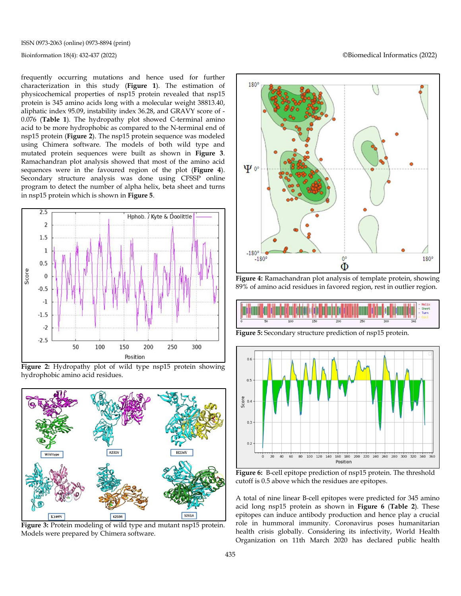ISSN 0973-2063 (online) 0973-8894 (print)

frequently occurring mutations and hence used for further characterization in this study (**Figure 1**). The estimation of physicochemical properties of nsp15 protein revealed that nsp15 protein is 345 amino acids long with a molecular weight 38813.40, aliphatic index 95.09, instability index 36.28, and GRAVY score of - 0.076 (**Table 1**). The hydropathy plot showed C-terminal amino acid to be more hydrophobic as compared to the N-terminal end of nsp15 protein (**Figure 2**). The nsp15 protein sequence was modeled using Chimera software. The models of both wild type and mutated protein sequences were built as shown in **Figure 3**. Ramachandran plot analysis showed that most of the amino acid sequences were in the favoured region of the plot (**Figure 4**). Secondary structure analysis was done using CFSSP online program to detect the number of alpha helix, beta sheet and turns in nsp15 protein which is shown in **Figure 5**.







**Figure 3:** Protein modeling of wild type and mutant nsp15 protein. Models were prepared by Chimera software.

Bioinformation 18(4): 432-437 (2022) ©Biomedical Informatics (2022)



**Figure 4:** Ramachandran plot analysis of template protein, showing 89% of amino acid residues in favored region, rest in outlier region.



**Figure 5:** Secondary structure prediction of nsp15 protein.



**Figure 6:** B-cell epitope prediction of nsp15 protein. The threshold cutoff is 0.5 above which the residues are epitopes.

A total of nine linear B-cell epitopes were predicted for 345 amino acid long nsp15 protein as shown in **Figure 6** (**Table 2**). These epitopes can induce antibody production and hence play a crucial role in hummoral immunity. Coronavirus poses humanitarian health crisis globally. Considering its infectivity, World Health Organization on 11th March 2020 has declared public health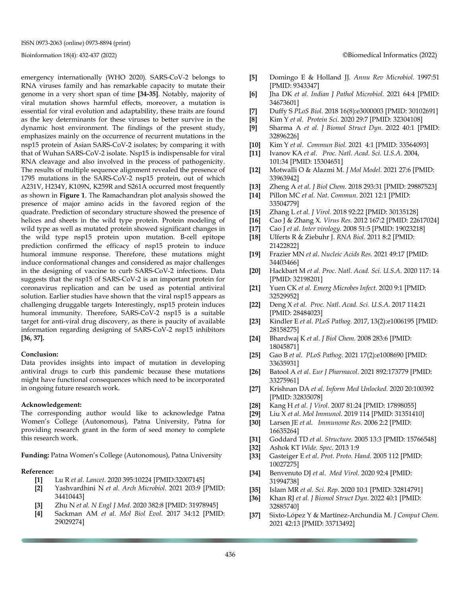emergency internationally (WHO 2020). SARS-CoV-2 belongs to RNA viruses family and has remarkable capacity to mutate their genome in a very short span of time **[34-35]**. Notably, majority of viral mutation shows harmful effects, moreover, a mutation is essential for viral evolution and adaptability, these traits are found as the key determinants for these viruses to better survive in the dynamic host environment. The findings of the present study, emphasizes mainly on the occurrence of recurrent mutations in the nsp15 protein of Asian SARS-CoV-2 isolates; by comparing it with that of Wuhan SARS-CoV-2 isolate. Nsp15 is indispensable for viral RNA cleavage and also involved in the process of pathogenicity. The results of multiple sequence alignment revealed the presence of 1795 mutations in the SARS-CoV-2 nsp15 protein, out of which A231V, H234Y, K109N, K259R and S261A occurred most frequently as shown in **Figure 1**. The Ramachandran plot analysis showed the presence of major amino acids in the favored region of the quadrate. Prediction of secondary structure showed the presence of helices and sheets in the wild type protein. Protein modeling of wild type as well as mutated protein showed significant changes in the wild type nsp15 protein upon mutation. B-cell epitope prediction confirmed the efficacy of nsp15 protein to induce humoral immune response. Therefore, these mutations might induce conformational changes and considered as major challenges in the designing of vaccine to curb SARS-CoV-2 infections. Data suggests that the nsp15 of SARS-CoV-2 is an important protein for coronavirus replication and can be used as potential antiviral solution. Earlier studies have shown that the viral nsp15 appears as challenging druggable targets. Interestingly, nsp15 protein induces humoral immunity. Therefore, SARS-CoV-2 nsp15 is a suitable target for anti-viral drug discovery, as there is paucity of available information regarding designing of SARS-CoV-2 nsp15 inhibitors **[36, 37].**

#### **Conclusion:**

Data provides insights into impact of mutation in developing antiviral drugs to curb this pandemic because these mutations might have functional consequences which need to be incorporated in ongoing future research work.

#### **Acknowledgement:**

The corresponding author would like to acknowledge Patna Women's College (Autonomous), Patna University, Patna for providing research grant in the form of seed money to complete this research work.

**Funding:** Patna Women's College (Autonomous), Patna University

#### **Reference:**

- **[1]** Lu R *et al. Lancet*. 2020 395:10224 [PMID:32007145]
- **[2]** Yashvardhini N *et al. Arch Microbiol*. 2021 203:9 [PMID: 34410443]
- **[3]** Zhu N *et al. N Engl J Med.* 2020 382:8 [PMID: 31978945]
- **[4]** Sackman AM *et al. Mol Biol Evol.* 2017 34:12 [PMID: 29029274]
- **[5]** Domingo E & Holland JJ. *Annu Rev Microbiol.* 1997:51 [PMID: 9343347]
- **[6]** Jha DK *et al. Indian J Pathol Microbiol.* 2021 64:4 [PMID: 34673601]
- **[7]** Duffy S *PLoS Biol.* 2018 16(8):e3000003 [PMID: 30102691]
- **[8]** Kim Y *et al*. *Protein Sci.* 2020 29:7 [PMID: 32304108]
- **[9]** Sharma A *et al*. *J Biomol Struct Dyn.* 2022 40:1 [PMID: 32896226]
- **[10]** Kim Y *et al*. *Commun Biol.* 2021 4:1 [PMID: 33564093]
- **[11]** Ivanov KA *et al. Proc. Natl. Acad. Sci. U.S.A.* 2004, 101:34 [PMID: 15304651]
- **[12]** Motwalli O & Alazmi M. *J Mol Model.* 2021 27:6 [PMID: 33963942]
- **[13]** Zheng A *et al. J Biol Chem.* 2018 293:31 [PMID: 29887523]
- **[14]** Pillon MC *et al. Nat. Commun.* 2021 12:1 [PMID: 33504779]
- **[15]** Zhang L *et al. J Virol.* 2018 92:22 [PMID: 30135128]
- **[16]** Cao J & Zhang X. *Virus Res.* 2012 167:2 [PMID: 22617024]
- **[17]** Cao J *et al*. *Inter virology.* 2008 51:5 [PMID: 19023218]
- **[18]** Ulferts R & Ziebuhr J. *RNA Biol.* 2011 8:2 [PMID: 21422822]
- **[19]** Frazier MN *et al*. *Nucleic Acids Res.* 2021 49:17 [PMID: 34403466]
- **[20]** Hackbart M *et al. Proc. Natl. Acad. Sci. U.S.A.* 2020 117: 14 [PMID: 32198201]
- **[21]** Yuen CK *et al. Emerg Microbes Infect.* 2020 9:1 [PMID: 32529952]
- **[22]** Deng X *et al. Proc. Natl. Acad. Sci. U.S.A.* 2017 114:21 [PMID: 28484023]
- **[23]** Kindler E *et al. PLoS Pathog.* 2017, 13(2):e1006195 [PMID: 28158275]
- **[24]** Bhardwaj K *et al*. *J Biol Chem.* 2008 283:6 [PMID: 18045871]
- **[25]** Gao B *et al*. *PLoS Pathog.* 2021 17(2):e1008690 [PMID: 33635931]
- **[26]** Batool A *et al*. *Eur J Pharmacol.* 2021 892:173779 [PMID: 33275961]
- **[27]** Krishnan DA *et al*. *Inform Med Unlocked.* 2020 20:100392 [PMID: 32835078]
- **[28]** Kang H *et al*. *J Virol.* 2007 81:24 [PMID: 17898055]
- **[29]** Liu X *et al*. *Mol Immunol.* 2019 114 [PMID: 31351410]
- **[30]** Larsen JE *et al*. *Immunome Res.* 2006 2:2 [PMID: 16635264]
- **[31]** Goddard TD *et al*. *Structure.* 2005 13:3 [PMID: 15766548]
- **[32]** Ashok KT *Wide. Spec.* 2013 1:9
- **[33]** Gasteiger E *et al*. *Prot. Proto. Hand*. 2005 112 [PMID: 10027275]
- **[34]** Benvenuto DJ *et al*. *Med Virol.* 2020 92:4 [PMID: 31994738]
- **[35]** Islam MR *et al. Sci. Rep.* 2020 10:1 [PMID: 32814791]
- **[36]** Khan RJ *et al. J Biomol Struct Dyn.* 2022 40:1 [PMID: 32885740]
- **[37]** Sixto-López Y & Martínez-Archundia M. *J Comput Chem.*  2021 42:13 [PMID: 33713492]